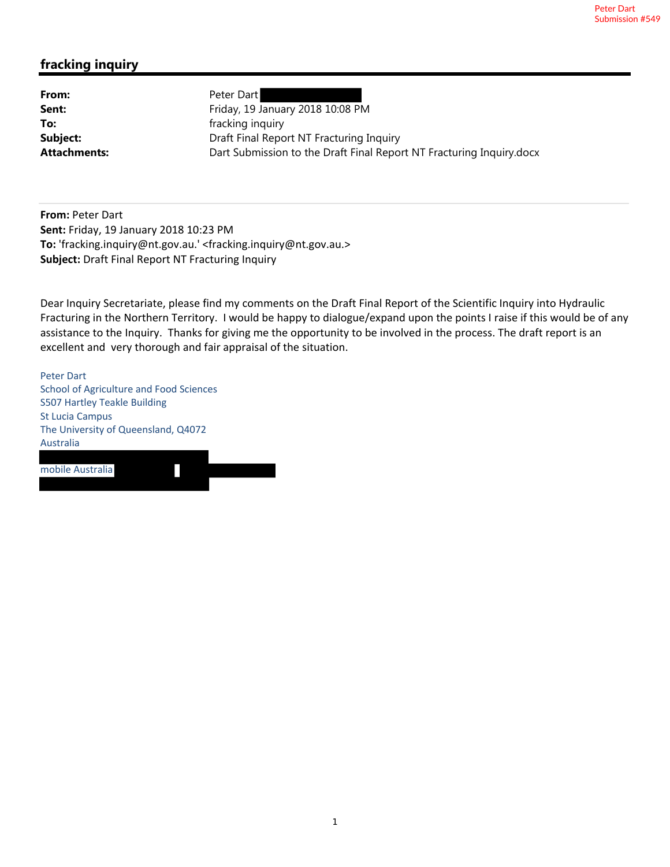## **fracking inquiry**

From: Peter Dart

**Sent:** Friday, 19 January 2018 10:08 PM **To: Fracking inquiry fracking inquiry Subject:** Draft Final Report NT Fracturing Inquiry **Attachments:** Dart Submission to the Draft Final Report NT Fracturing Inquiry.docx

**From:** Peter Dart **Sent:** Friday, 19 January 2018 10:23 PM **To:** 'fracking.inquiry@nt.gov.au.' <fracking.inquiry@nt.gov.au.> **Subject:** Draft Final Report NT Fracturing Inquiry

Dear Inquiry Secretariate, please find my comments on the Draft Final Report of the Scientific Inquiry into Hydraulic Fracturing in the Northern Territory. I would be happy to dialogue/expand upon the points I raise if this would be of any assistance to the Inquiry. Thanks for giving me the opportunity to be involved in the process. The draft report is an excellent and very thorough and fair appraisal of the situation.

Peter Dart School of Agriculture and Food Sciences S507 Hartley Teakle Building St Lucia Campus The University of Queensland, Q4072 Australia

mobile Australia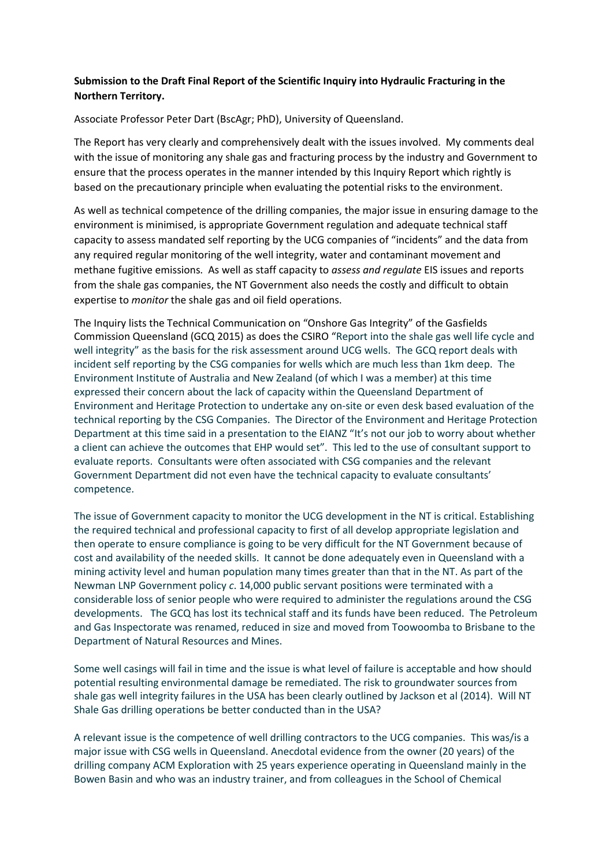## **Submission to the Draft Final Report of the Scientific Inquiry into Hydraulic Fracturing in the Northern Territory.**

Associate Professor Peter Dart (BscAgr; PhD), University of Queensland.

The Report has very clearly and comprehensively dealt with the issues involved. My comments deal with the issue of monitoring any shale gas and fracturing process by the industry and Government to ensure that the process operates in the manner intended by this Inquiry Report which rightly is based on the precautionary principle when evaluating the potential risks to the environment.

As well as technical competence of the drilling companies, the major issue in ensuring damage to the environment is minimised, is appropriate Government regulation and adequate technical staff capacity to assess mandated self reporting by the UCG companies of "incidents" and the data from any required regular monitoring of the well integrity, water and contaminant movement and methane fugitive emissions. As well as staff capacity to *assess and regulate* EIS issues and reports from the shale gas companies, the NT Government also needs the costly and difficult to obtain expertise to *monitor* the shale gas and oil field operations.

The Inquiry lists the Technical Communication on "Onshore Gas Integrity" of the Gasfields Commission Queensland (GCQ 2015) as does the CSIRO "Report into the shale gas well life cycle and well integrity" as the basis for the risk assessment around UCG wells. The GCQ report deals with incident self reporting by the CSG companies for wells which are much less than 1km deep. The Environment Institute of Australia and New Zealand (of which I was a member) at this time expressed their concern about the lack of capacity within the Queensland Department of Environment and Heritage Protection to undertake any on-site or even desk based evaluation of the technical reporting by the CSG Companies. The Director of the Environment and Heritage Protection Department at this time said in a presentation to the EIANZ "It's not our job to worry about whether a client can achieve the outcomes that EHP would set". This led to the use of consultant support to evaluate reports. Consultants were often associated with CSG companies and the relevant Government Department did not even have the technical capacity to evaluate consultants' competence.

The issue of Government capacity to monitor the UCG development in the NT is critical. Establishing the required technical and professional capacity to first of all develop appropriate legislation and then operate to ensure compliance is going to be very difficult for the NT Government because of cost and availability of the needed skills. It cannot be done adequately even in Queensland with a mining activity level and human population many times greater than that in the NT. As part of the Newman LNP Government policy *c*. 14,000 public servant positions were terminated with a considerable loss of senior people who were required to administer the regulations around the CSG developments. The GCQ has lost its technical staff and its funds have been reduced. The Petroleum and Gas Inspectorate was renamed, reduced in size and moved from Toowoomba to Brisbane to the Department of Natural Resources and Mines.

Some well casings will fail in time and the issue is what level of failure is acceptable and how should potential resulting environmental damage be remediated. The risk to groundwater sources from shale gas well integrity failures in the USA has been clearly outlined by Jackson et al (2014). Will NT Shale Gas drilling operations be better conducted than in the USA?

A relevant issue is the competence of well drilling contractors to the UCG companies. This was/is a major issue with CSG wells in Queensland. Anecdotal evidence from the owner (20 years) of the drilling company ACM Exploration with 25 years experience operating in Queensland mainly in the Bowen Basin and who was an industry trainer, and from colleagues in the School of Chemical